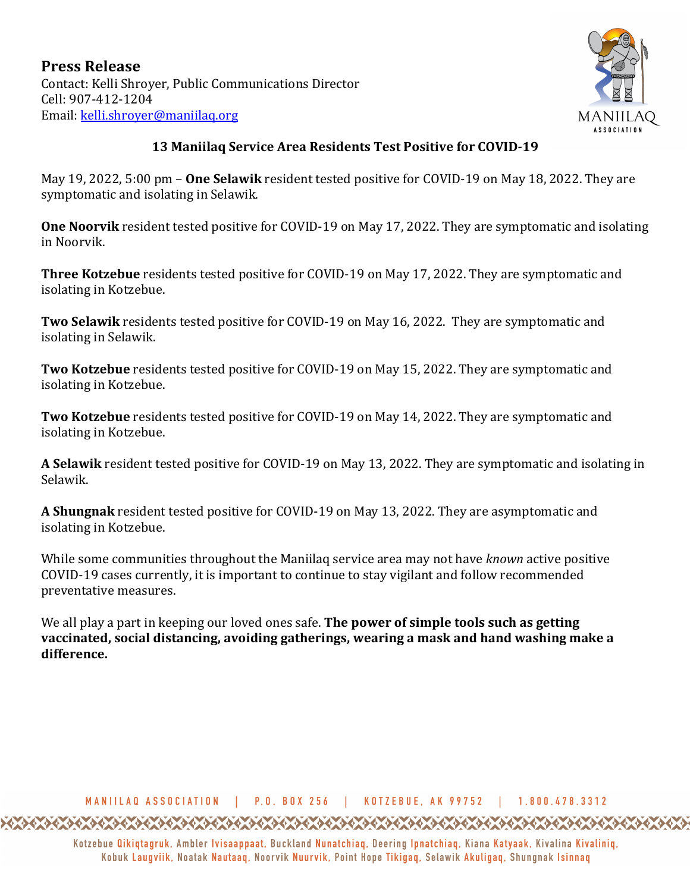

## **13 Maniilaq Service Area Residents Test Positive for COVID-19**

May 19, 2022, 5:00 pm – **One Selawik** resident tested positive for COVID-19 on May 18, 2022. They are symptomatic and isolating in Selawik.

**One Noorvik** resident tested positive for COVID-19 on May 17, 2022. They are symptomatic and isolating in Noorvik.

**Three Kotzebue** residents tested positive for COVID-19 on May 17, 2022. They are symptomatic and isolating in Kotzebue.

**Two Selawik** residents tested positive for COVID-19 on May 16, 2022. They are symptomatic and isolating in Selawik.

**Two Kotzebue** residents tested positive for COVID-19 on May 15, 2022. They are symptomatic and isolating in Kotzebue.

**Two Kotzebue** residents tested positive for COVID-19 on May 14, 2022. They are symptomatic and isolating in Kotzebue.

A Selawik resident tested positive for COVID-19 on May 13, 2022. They are symptomatic and isolating in Selawik.

**A Shungnak** resident tested positive for COVID-19 on May 13, 2022. They are asymptomatic and isolating in Kotzebue.

While some communities throughout the Maniilaq service area may not have *known* active positive COVID-19 cases currently, it is important to continue to stay vigilant and follow recommended preventative measures.

We all play a part in keeping our loved ones safe. **The power of simple tools such as getting vaccinated, social distancing, avoiding gatherings, wearing a mask and hand washing make a difference.**

## MANIILAQ ASSOCIATION | P.O. BOX 256 | KOTZEBUE. AK 99752 | 1.800.478.3312

Kotzebue Qikiqtagruk, Ambler Ivisaappaat, Buckland Nunatchiaq, Deering Ipnatchiaq, Kiana Katyaak, Kivalina Kivaliniq, Kobuk Laugviik, Noatak Nautaag, Noorvik Nuurvik, Point Hope Tikigag, Selawik Akuligag, Shungnak Isinnag